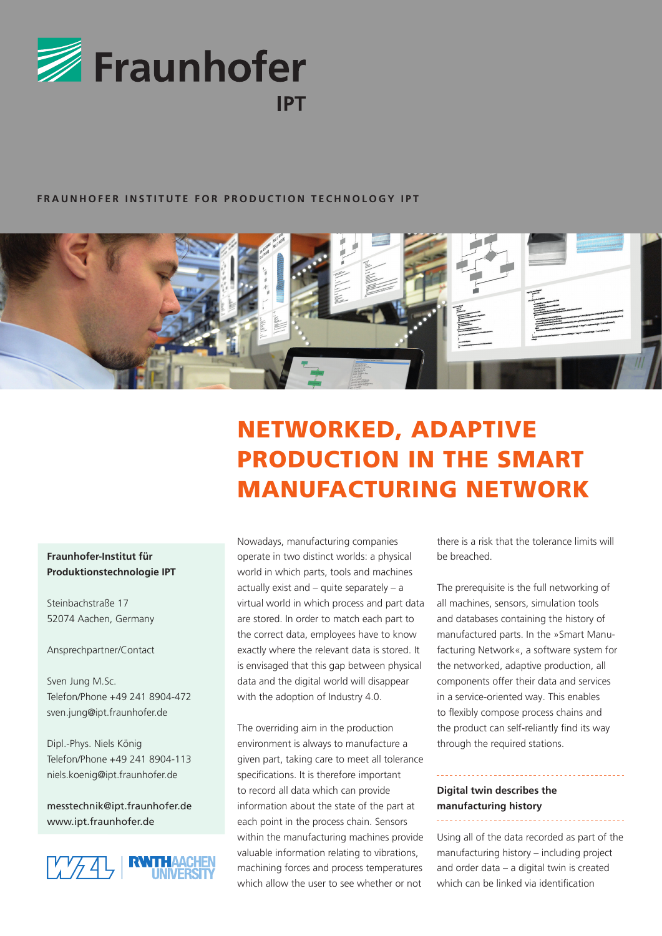

#### **FRAUNHOFER INSTITUTE FOR PRODUCTION TECHNOLOGY IPT**



# NETWORKED, ADAPTIVE PRODUCTION IN THE SMART MANUFACTURING NETWORK

### **Fraunhofer-Institut für Produktionstechnologie IPT**

Steinbachstraße 17 52074 Aachen, Germany

Ansprechpartner/Contact

Sven Jung M.Sc. Telefon/Phone +49 241 8904-472 sven.jung@ipt.fraunhofer.de

Dipl.-Phys. Niels König Telefon/Phone +49 241 8904-113 niels.koenig@ipt.fraunhofer.de

messtechnik@ipt.fraunhofer.de www.ipt.fraunhofer.de



Nowadays, manufacturing companies operate in two distinct worlds: a physical world in which parts, tools and machines actually exist and – quite separately – a virtual world in which process and part data are stored. In order to match each part to the correct data, employees have to know exactly where the relevant data is stored. It is envisaged that this gap between physical data and the digital world will disappear with the adoption of Industry 4.0.

The overriding aim in the production environment is always to manufacture a given part, taking care to meet all tolerance specifications. It is therefore important to record all data which can provide information about the state of the part at each point in the process chain. Sensors within the manufacturing machines provide valuable information relating to vibrations, machining forces and process temperatures which allow the user to see whether or not

there is a risk that the tolerance limits will be breached.

The prerequisite is the full networking of all machines, sensors, simulation tools and databases containing the history of manufactured parts. In the »Smart Manufacturing Network«, a software system for the networked, adaptive production, all components offer their data and services in a service-oriented way. This enables to flexibly compose process chains and the product can self-reliantly find its way through the required stations.

#### **Digital twin describes the manufacturing history** \_\_\_\_\_\_\_\_\_\_\_\_\_\_\_\_\_\_\_\_\_\_\_\_\_\_\_\_\_\_

Using all of the data recorded as part of the manufacturing history – including project and order data – a digital twin is created which can be linked via identification